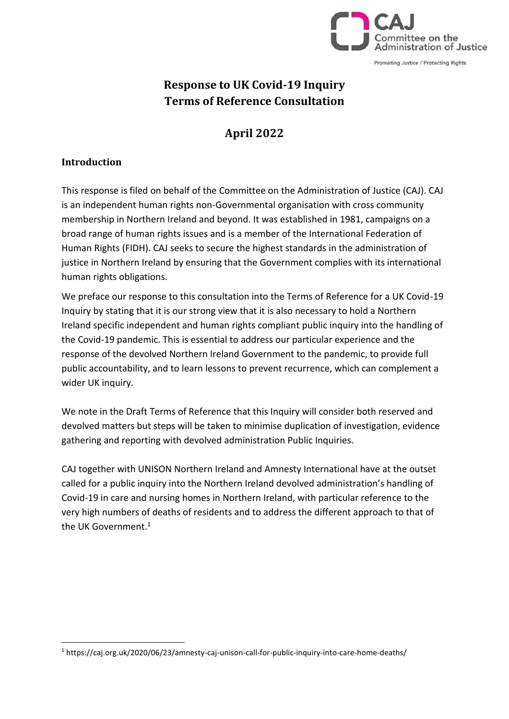

# **Response to UK Covid-19 Inquiry Terms of Reference Consultation**

# **April 2022**

#### **Introduction**

This response is filed on behalf of the Committee on the Administration of Justice (CAJ). CAJ is an independent human rights non-Governmental organisation with cross community membership in Northern Ireland and beyond. It was established in 1981, campaigns on a broad range of human rights issues and is a member of the International Federation of Human Rights (FIDH). CAJ seeks to secure the highest standards in the administration of justice in Northern Ireland by ensuring that the Government complies with its international human rights obligations.

We preface our response to this consultation into the Terms of Reference for a UK Covid-19 Inquiry by stating that it is our strong view that it is also necessary to hold a Northern Ireland specific independent and human rights compliant public inquiry into the handling of the Covid-19 pandemic. This is essential to address our particular experience and the response of the devolved Northern Ireland Government to the pandemic, to provide full public accountability, and to learn lessons to prevent recurrence, which can complement a wider UK inquiry.

We note in the Draft Terms of Reference that this Inquiry will consider both reserved and devolved matters but steps will be taken to minimise duplication of investigation, evidence gathering and reporting with devolved administration Public Inquiries.

CAJ together with UNISON Northern Ireland and Amnesty International have at the outset called for a public inquiry into the Northern Ireland devolved administration's handling of Covid-19 in care and nursing homes in Northern Ireland, with particular reference to the very high numbers of deaths of residents and to address the different approach to that of the UK Government.<sup>1</sup>

<sup>1</sup> https://caj.org.uk/2020/06/23/amnesty-caj-unison-call-for-public-inquiry-into-care-home-deaths/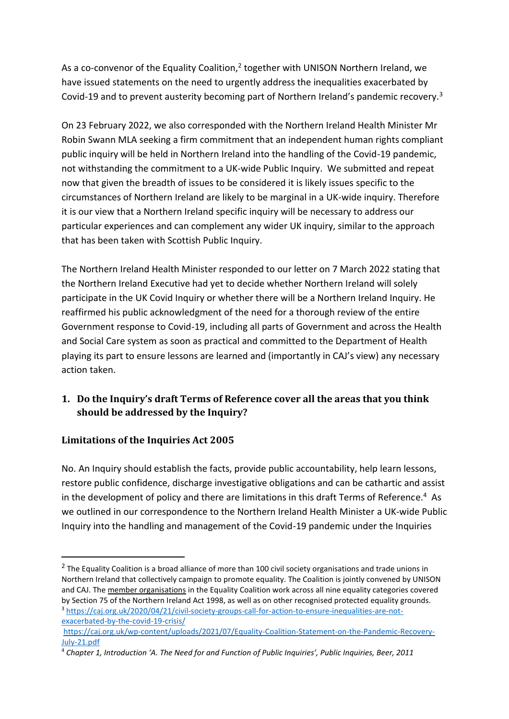As a co-convenor of the Equality Coalition,<sup>2</sup> together with UNISON Northern Ireland, we have issued statements on the need to urgently address the inequalities exacerbated by Covid-19 and to prevent austerity becoming part of Northern Ireland's pandemic recovery.<sup>3</sup>

On 23 February 2022, we also corresponded with the Northern Ireland Health Minister Mr Robin Swann MLA seeking a firm commitment that an independent human rights compliant public inquiry will be held in Northern Ireland into the handling of the Covid-19 pandemic, not withstanding the commitment to a UK-wide Public Inquiry. We submitted and repeat now that given the breadth of issues to be considered it is likely issues specific to the circumstances of Northern Ireland are likely to be marginal in a UK-wide inquiry. Therefore it is our view that a Northern Ireland specific inquiry will be necessary to address our particular experiences and can complement any wider UK inquiry, similar to the approach that has been taken with Scottish Public Inquiry.

The Northern Ireland Health Minister responded to our letter on 7 March 2022 stating that the Northern Ireland Executive had yet to decide whether Northern Ireland will solely participate in the UK Covid Inquiry or whether there will be a Northern Ireland Inquiry. He reaffirmed his public acknowledgment of the need for a thorough review of the entire Government response to Covid-19, including all parts of Government and across the Health and Social Care system as soon as practical and committed to the Department of Health playing its part to ensure lessons are learned and (importantly in CAJ's view) any necessary action taken.

## **1. Do the Inquiry's draft Terms of Reference cover all the areas that you think should be addressed by the Inquiry?**

## **Limitations of the Inquiries Act 2005**

No. An Inquiry should establish the facts, provide public accountability, help learn lessons, restore public confidence, discharge investigative obligations and can be cathartic and assist in the development of policy and there are limitations in this draft Terms of Reference.<sup>4</sup> As we outlined in our correspondence to the Northern Ireland Health Minister a UK-wide Public Inquiry into the handling and management of the Covid-19 pandemic under the Inquiries

<sup>&</sup>lt;sup>2</sup> The Equality Coalition is a broad alliance of more than 100 civil society organisations and trade unions in Northern Ireland that collectively campaign to promote equality. The Coalition is jointly convened by UNISON and CAJ. The [member organisations](https://www.equalitycoalition.net/?page_id=86) in the Equality Coalition work across all nine equality categories covered by Section 75 of the Northern Ireland Act 1998, as well as on other recognised protected equality grounds. <sup>3</sup> [https://caj.org.uk/2020/04/21/civil-society-groups-call-for-action-to-ensure-inequalities-are-not](https://caj.org.uk/2020/04/21/civil-society-groups-call-for-action-to-ensure-inequalities-are-not-exacerbated-by-the-covid-19-crisis/)[exacerbated-by-the-covid-19-crisis/](https://caj.org.uk/2020/04/21/civil-society-groups-call-for-action-to-ensure-inequalities-are-not-exacerbated-by-the-covid-19-crisis/)

[https://caj.org.uk/wp-content/uploads/2021/07/Equality-Coalition-Statement-on-the-Pandemic-Recovery-](https://caj.org.uk/wp-content/uploads/2021/07/Equality-Coalition-Statement-on-the-Pandemic-Recovery-July-21.pdf)[July-21.pdf](https://caj.org.uk/wp-content/uploads/2021/07/Equality-Coalition-Statement-on-the-Pandemic-Recovery-July-21.pdf)

<sup>4</sup> *Chapter 1, Introduction 'A. The Need for and Function of Public Inquiries', Public Inquiries, Beer, 2011*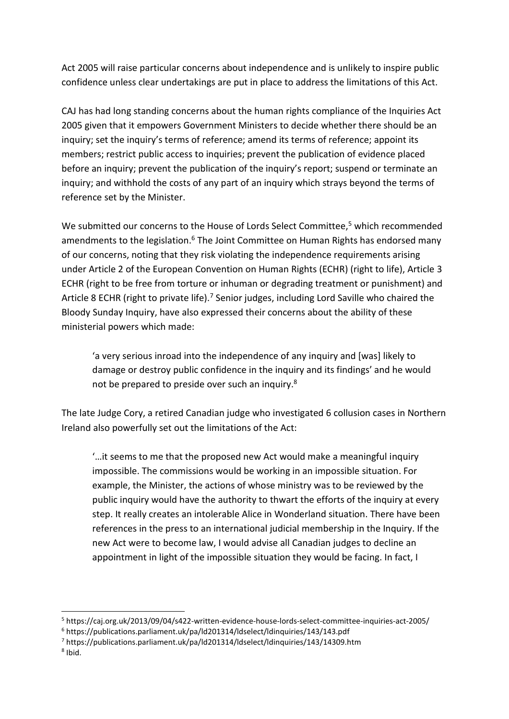Act 2005 will raise particular concerns about independence and is unlikely to inspire public confidence unless clear undertakings are put in place to address the limitations of this Act.

CAJ has had long standing concerns about the human rights compliance of the Inquiries Act 2005 given that it empowers Government Ministers to decide whether there should be an inquiry; set the inquiry's terms of reference; amend its terms of reference; appoint its members; restrict public access to inquiries; prevent the publication of evidence placed before an inquiry; prevent the publication of the inquiry's report; suspend or terminate an inquiry; and withhold the costs of any part of an inquiry which strays beyond the terms of reference set by the Minister.

We submitted our concerns to the House of Lords Select Committee,<sup>5</sup> which recommended amendments to the legislation.<sup>6</sup> The Joint Committee on Human Rights has endorsed many of our concerns, noting that they risk violating the independence requirements arising under Article 2 of the European Convention on Human Rights (ECHR) (right to life), Article 3 ECHR (right to be free from torture or inhuman or degrading treatment or punishment) and Article 8 ECHR (right to private life).<sup>7</sup> Senior judges, including Lord Saville who chaired the Bloody Sunday Inquiry, have also expressed their concerns about the ability of these ministerial powers which made:

'a very serious inroad into the independence of any inquiry and [was] likely to damage or destroy public confidence in the inquiry and its findings' and he would not be prepared to preside over such an inquiry.<sup>8</sup>

The late Judge Cory, a retired Canadian judge who investigated 6 collusion cases in Northern Ireland also powerfully set out the limitations of the Act:

'…it seems to me that the proposed new Act would make a meaningful inquiry impossible. The commissions would be working in an impossible situation. For example, the Minister, the actions of whose ministry was to be reviewed by the public inquiry would have the authority to thwart the efforts of the inquiry at every step. It really creates an intolerable Alice in Wonderland situation. There have been references in the press to an international judicial membership in the Inquiry. If the new Act were to become law, I would advise all Canadian judges to decline an appointment in light of the impossible situation they would be facing. In fact, I

<sup>5</sup> https://caj.org.uk/2013/09/04/s422-written-evidence-house-lords-select-committee-inquiries-act-2005/

<sup>6</sup> https://publications.parliament.uk/pa/ld201314/ldselect/ldinquiries/143/143.pdf

<sup>7</sup> https://publications.parliament.uk/pa/ld201314/ldselect/ldinquiries/143/14309.htm

<sup>8</sup> Ibid.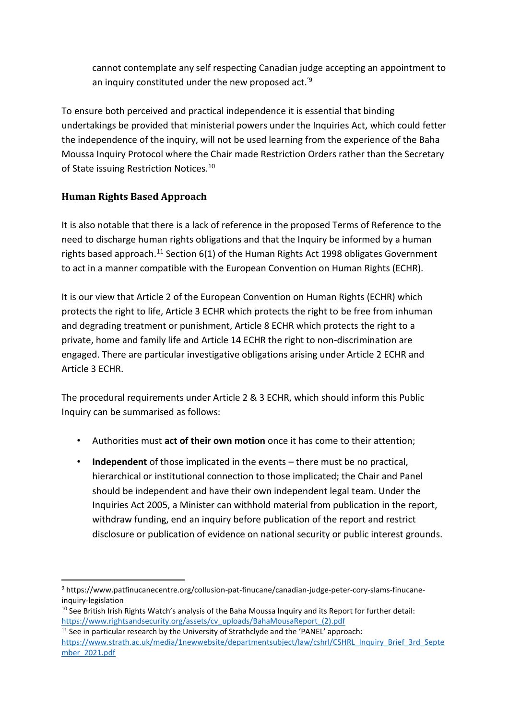cannot contemplate any self respecting Canadian judge accepting an appointment to an inquiry constituted under the new proposed act.'<sup>9</sup>

To ensure both perceived and practical independence it is essential that binding undertakings be provided that ministerial powers under the Inquiries Act, which could fetter the independence of the inquiry, will not be used learning from the experience of the Baha Moussa Inquiry Protocol where the Chair made Restriction Orders rather than the Secretary of State issuing Restriction Notices.<sup>10</sup>

## **Human Rights Based Approach**

It is also notable that there is a lack of reference in the proposed Terms of Reference to the need to discharge human rights obligations and that the Inquiry be informed by a human rights based approach.<sup>11</sup> Section  $6(1)$  of the Human Rights Act 1998 obligates Government to act in a manner compatible with the European Convention on Human Rights (ECHR).

It is our view that Article 2 of the European Convention on Human Rights (ECHR) which protects the right to life, Article 3 ECHR which protects the right to be free from inhuman and degrading treatment or punishment, Article 8 ECHR which protects the right to a private, home and family life and Article 14 ECHR the right to non-discrimination are engaged. There are particular investigative obligations arising under Article 2 ECHR and Article 3 ECHR.

The procedural requirements under Article 2 & 3 ECHR, which should inform this Public Inquiry can be summarised as follows:

- Authorities must **act of their own motion** once it has come to their attention;
- **Independent** of those implicated in the events there must be no practical, hierarchical or institutional connection to those implicated; the Chair and Panel should be independent and have their own independent legal team. Under the Inquiries Act 2005, a Minister can withhold material from publication in the report, withdraw funding, end an inquiry before publication of the report and restrict disclosure or publication of evidence on national security or public interest grounds.

<sup>9</sup> https://www.patfinucanecentre.org/collusion-pat-finucane/canadian-judge-peter-cory-slams-finucaneinquiry-legislation

<sup>&</sup>lt;sup>10</sup> See British Irish Rights Watch's analysis of the Baha Moussa Inquiry and its Report for further detail: [https://www.rightsandsecurity.org/assets/cv\\_uploads/BahaMousaReport\\_\(2\).pdf](https://www.rightsandsecurity.org/assets/cv_uploads/BahaMousaReport_(2).pdf)

 $11$  See in particular research by the University of Strathclyde and the 'PANEL' approach: [https://www.strath.ac.uk/media/1newwebsite/departmentsubject/law/cshrl/CSHRL\\_Inquiry\\_Brief\\_3rd\\_Septe](https://www.strath.ac.uk/media/1newwebsite/departmentsubject/law/cshrl/CSHRL_Inquiry_Brief_3rd_September_2021.pdf) [mber\\_2021.pdf](https://www.strath.ac.uk/media/1newwebsite/departmentsubject/law/cshrl/CSHRL_Inquiry_Brief_3rd_September_2021.pdf)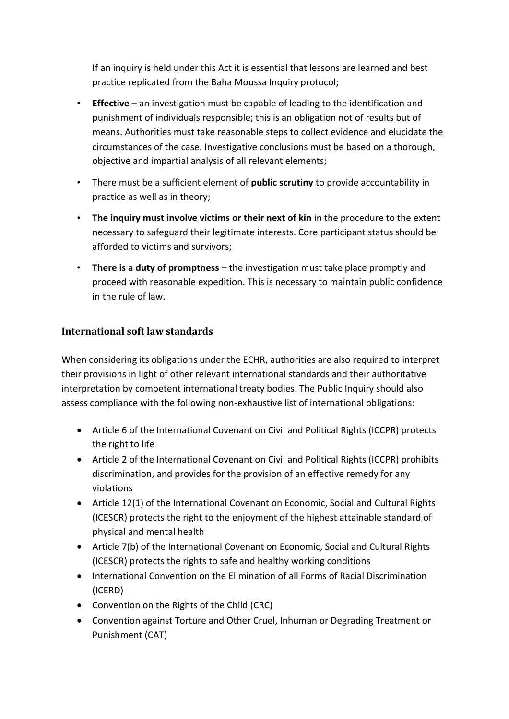If an inquiry is held under this Act it is essential that lessons are learned and best practice replicated from the Baha Moussa Inquiry protocol;

- **Effective** an investigation must be capable of leading to the identification and punishment of individuals responsible; this is an obligation not of results but of means. Authorities must take reasonable steps to collect evidence and elucidate the circumstances of the case. Investigative conclusions must be based on a thorough, objective and impartial analysis of all relevant elements;
- There must be a sufficient element of **public scrutiny** to provide accountability in practice as well as in theory;
- **The inquiry must involve victims or their next of kin** in the procedure to the extent necessary to safeguard their legitimate interests. Core participant status should be afforded to victims and survivors;
- **There is a duty of promptness** the investigation must take place promptly and proceed with reasonable expedition. This is necessary to maintain public confidence in the rule of law.

#### **International soft law standards**

When considering its obligations under the ECHR, authorities are also required to interpret their provisions in light of other relevant international standards and their authoritative interpretation by competent international treaty bodies. The Public Inquiry should also assess compliance with the following non-exhaustive list of international obligations:

- Article 6 of the International Covenant on Civil and Political Rights (ICCPR) protects the right to life
- Article 2 of the International Covenant on Civil and Political Rights (ICCPR) prohibits discrimination, and provides for the provision of an effective remedy for any violations
- Article 12(1) of the International Covenant on Economic, Social and Cultural Rights (ICESCR) protects the right to the enjoyment of the highest attainable standard of physical and mental health
- Article 7(b) of the International Covenant on Economic, Social and Cultural Rights (ICESCR) protects the rights to safe and healthy working conditions
- International Convention on the Elimination of all Forms of Racial Discrimination (ICERD)
- Convention on the Rights of the Child (CRC)
- Convention against Torture and Other Cruel, Inhuman or Degrading Treatment or Punishment (CAT)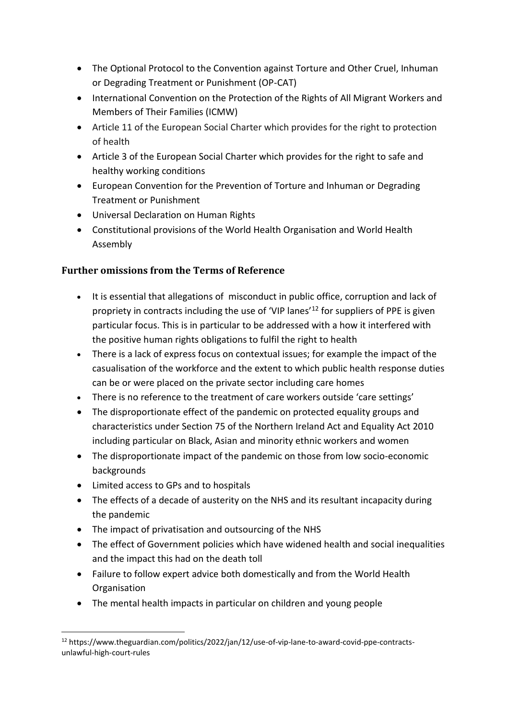- The Optional Protocol to the Convention against Torture and Other Cruel, Inhuman or Degrading Treatment or Punishment (OP-CAT)
- International Convention on the Protection of the Rights of All Migrant Workers and Members of Their Families (ICMW)
- Article 11 of the European Social Charter which provides for the right to protection of health
- Article 3 of the European Social Charter which provides for the right to safe and healthy working conditions
- European Convention for the Prevention of Torture and Inhuman or Degrading Treatment or Punishment
- Universal Declaration on Human Rights
- Constitutional provisions of the World Health Organisation and World Health Assembly

## **Further omissions from the Terms of Reference**

- It is essential that allegations of misconduct in public office, corruption and lack of propriety in contracts including the use of 'VIP lanes'<sup>12</sup> for suppliers of PPE is given particular focus. This is in particular to be addressed with a how it interfered with the positive human rights obligations to fulfil the right to health
- There is a lack of express focus on contextual issues; for example the impact of the casualisation of the workforce and the extent to which public health response duties can be or were placed on the private sector including care homes
- There is no reference to the treatment of care workers outside 'care settings'
- The disproportionate effect of the pandemic on protected equality groups and characteristics under Section 75 of the Northern Ireland Act and Equality Act 2010 including particular on Black, Asian and minority ethnic workers and women
- The disproportionate impact of the pandemic on those from low socio-economic backgrounds
- Limited access to GPs and to hospitals
- The effects of a decade of austerity on the NHS and its resultant incapacity during the pandemic
- The impact of privatisation and outsourcing of the NHS
- The effect of Government policies which have widened health and social inequalities and the impact this had on the death toll
- Failure to follow expert advice both domestically and from the World Health **Organisation**
- The mental health impacts in particular on children and young people

<sup>12</sup> https://www.theguardian.com/politics/2022/jan/12/use-of-vip-lane-to-award-covid-ppe-contractsunlawful-high-court-rules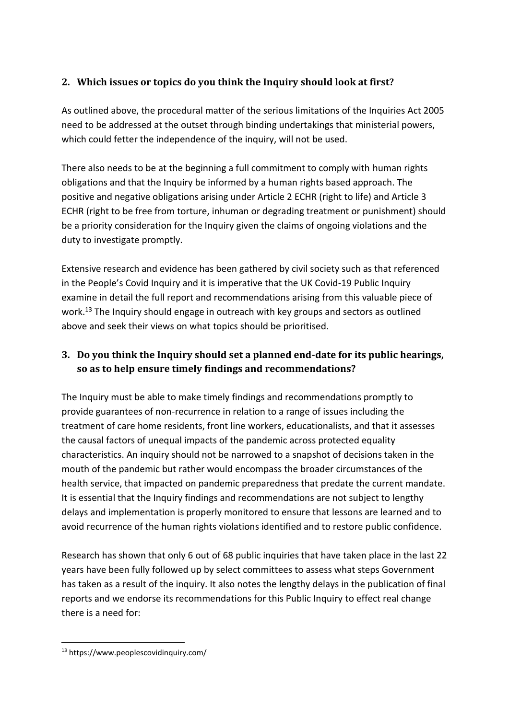## **2. Which issues or topics do you think the Inquiry should look at first?**

As outlined above, the procedural matter of the serious limitations of the Inquiries Act 2005 need to be addressed at the outset through binding undertakings that ministerial powers, which could fetter the independence of the inquiry, will not be used.

There also needs to be at the beginning a full commitment to comply with human rights obligations and that the Inquiry be informed by a human rights based approach. The positive and negative obligations arising under Article 2 ECHR (right to life) and Article 3 ECHR (right to be free from torture, inhuman or degrading treatment or punishment) should be a priority consideration for the Inquiry given the claims of ongoing violations and the duty to investigate promptly.

Extensive research and evidence has been gathered by civil society such as that referenced in the People's Covid Inquiry and it is imperative that the UK Covid-19 Public Inquiry examine in detail the full report and recommendations arising from this valuable piece of work.<sup>13</sup> The Inquiry should engage in outreach with key groups and sectors as outlined above and seek their views on what topics should be prioritised.

## **3. Do you think the Inquiry should set a planned end-date for its public hearings, so as to help ensure timely findings and recommendations?**

The Inquiry must be able to make timely findings and recommendations promptly to provide guarantees of non-recurrence in relation to a range of issues including the treatment of care home residents, front line workers, educationalists, and that it assesses the causal factors of unequal impacts of the pandemic across protected equality characteristics. An inquiry should not be narrowed to a snapshot of decisions taken in the mouth of the pandemic but rather would encompass the broader circumstances of the health service, that impacted on pandemic preparedness that predate the current mandate. It is essential that the Inquiry findings and recommendations are not subject to lengthy delays and implementation is properly monitored to ensure that lessons are learned and to avoid recurrence of the human rights violations identified and to restore public confidence.

Research has shown that only 6 out of 68 public inquiries that have taken place in the last 22 years have been fully followed up by select committees to assess what steps Government has taken as a result of the inquiry. It also notes the lengthy delays in the publication of final reports and we endorse its recommendations for this Public Inquiry to effect real change there is a need for:

<sup>13</sup> https://www.peoplescovidinquiry.com/